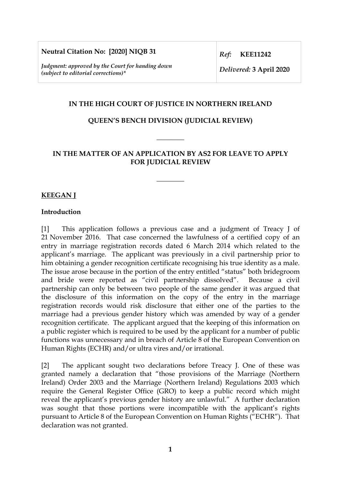**Neutral Citation No: [2020] NIQB 31**

*Judgment: approved by the Court for handing down (subject to editorial corrections)\** 

*Ref:* **KEE11242**

*Delivered:* **3 April 2020**

## **IN THE HIGH COURT OF JUSTICE IN NORTHERN IRELAND**

## **QUEEN'S BENCH DIVISION (JUDICIAL REVIEW)**

**\_\_\_\_\_\_\_\_** 

## **IN THE MATTER OF AN APPLICATION BY AS2 FOR LEAVE TO APPLY FOR JUDICIAL REVIEW**

**\_\_\_\_\_\_\_\_** 

### **KEEGAN J**

#### **Introduction**

[1] This application follows a previous case and a judgment of Treacy J of 21 November 2016. That case concerned the lawfulness of a certified copy of an entry in marriage registration records dated 6 March 2014 which related to the applicant's marriage. The applicant was previously in a civil partnership prior to him obtaining a gender recognition certificate recognising his true identity as a male. The issue arose because in the portion of the entry entitled "status" both bridegroom and bride were reported as "civil partnership dissolved". Because a civil partnership can only be between two people of the same gender it was argued that the disclosure of this information on the copy of the entry in the marriage registration records would risk disclosure that either one of the parties to the marriage had a previous gender history which was amended by way of a gender recognition certificate. The applicant argued that the keeping of this information on a public register which is required to be used by the applicant for a number of public functions was unnecessary and in breach of Article 8 of the European Convention on Human Rights (ECHR) and/or ultra vires and/or irrational.

[2] The applicant sought two declarations before Treacy J. One of these was granted namely a declaration that "those provisions of the Marriage (Northern Ireland) Order 2003 and the Marriage (Northern Ireland) Regulations 2003 which require the General Register Office (GRO) to keep a public record which might reveal the applicant's previous gender history are unlawful." A further declaration was sought that those portions were incompatible with the applicant's rights pursuant to Article 8 of the European Convention on Human Rights ("ECHR"). That declaration was not granted.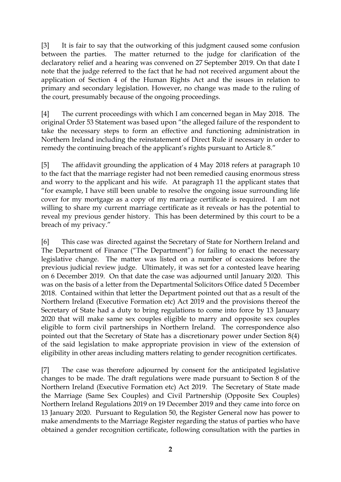[3] It is fair to say that the outworking of this judgment caused some confusion between the parties. The matter returned to the judge for clarification of the declaratory relief and a hearing was convened on 27 September 2019. On that date I note that the judge referred to the fact that he had not received argument about the application of Section 4 of the Human Rights Act and the issues in relation to primary and secondary legislation. However, no change was made to the ruling of the court, presumably because of the ongoing proceedings.

[4] The current proceedings with which I am concerned began in May 2018. The original Order 53 Statement was based upon "the alleged failure of the respondent to take the necessary steps to form an effective and functioning administration in Northern Ireland including the reinstatement of Direct Rule if necessary in order to remedy the continuing breach of the applicant's rights pursuant to Article 8."

[5] The affidavit grounding the application of 4 May 2018 refers at paragraph 10 to the fact that the marriage register had not been remedied causing enormous stress and worry to the applicant and his wife. At paragraph 11 the applicant states that "for example, I have still been unable to resolve the ongoing issue surrounding life cover for my mortgage as a copy of my marriage certificate is required. I am not willing to share my current marriage certificate as it reveals or has the potential to reveal my previous gender history. This has been determined by this court to be a breach of my privacy."

[6] This case was directed against the Secretary of State for Northern Ireland and The Department of Finance ("The Department") for failing to enact the necessary legislative change. The matter was listed on a number of occasions before the previous judicial review judge. Ultimately, it was set for a contested leave hearing on 6 December 2019. On that date the case was adjourned until January 2020. This was on the basis of a letter from the Departmental Solicitors Office dated 5 December 2018. Contained within that letter the Department pointed out that as a result of the Northern Ireland (Executive Formation etc) Act 2019 and the provisions thereof the Secretary of State had a duty to bring regulations to come into force by 13 January 2020 that will make same sex couples eligible to marry and opposite sex couples eligible to form civil partnerships in Northern Ireland. The correspondence also pointed out that the Secretary of State has a discretionary power under Section 8(4) of the said legislation to make appropriate provision in view of the extension of eligibility in other areas including matters relating to gender recognition certificates.

[7] The case was therefore adjourned by consent for the anticipated legislative changes to be made. The draft regulations were made pursuant to Section 8 of the Northern Ireland (Executive Formation etc) Act 2019. The Secretary of State made the Marriage (Same Sex Couples) and Civil Partnership (Opposite Sex Couples) Northern Ireland Regulations 2019 on 19 December 2019 and they came into force on 13 January 2020. Pursuant to Regulation 50, the Register General now has power to make amendments to the Marriage Register regarding the status of parties who have obtained a gender recognition certificate, following consultation with the parties in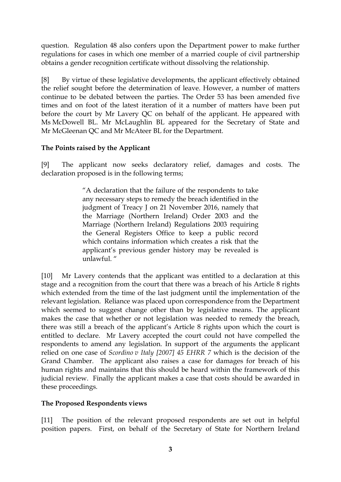question. Regulation 48 also confers upon the Department power to make further regulations for cases in which one member of a married couple of civil partnership obtains a gender recognition certificate without dissolving the relationship.

[8] By virtue of these legislative developments, the applicant effectively obtained the relief sought before the determination of leave. However, a number of matters continue to be debated between the parties. The Order 53 has been amended five times and on foot of the latest iteration of it a number of matters have been put before the court by Mr Lavery QC on behalf of the applicant. He appeared with Ms McDowell BL. Mr McLaughlin BL appeared for the Secretary of State and Mr McGleenan QC and Mr McAteer BL for the Department.

# **The Points raised by the Applicant**

[9] The applicant now seeks declaratory relief, damages and costs. The declaration proposed is in the following terms;

> "A declaration that the failure of the respondents to take any necessary steps to remedy the breach identified in the judgment of Treacy J on 21 November 2016, namely that the Marriage (Northern Ireland) Order 2003 and the Marriage (Northern Ireland) Regulations 2003 requiring the General Registers Office to keep a public record which contains information which creates a risk that the applicant's previous gender history may be revealed is unlawful. "

[10] Mr Lavery contends that the applicant was entitled to a declaration at this stage and a recognition from the court that there was a breach of his Article 8 rights which extended from the time of the last judgment until the implementation of the relevant legislation. Reliance was placed upon correspondence from the Department which seemed to suggest change other than by legislative means. The applicant makes the case that whether or not legislation was needed to remedy the breach, there was still a breach of the applicant's Article 8 rights upon which the court is entitled to declare. Mr Lavery accepted the court could not have compelled the respondents to amend any legislation. In support of the arguments the applicant relied on one case of *Scordino v Italy [2007] 45 EHRR 7* which is the decision of the Grand Chamber. The applicant also raises a case for damages for breach of his human rights and maintains that this should be heard within the framework of this judicial review. Finally the applicant makes a case that costs should be awarded in these proceedings.

## **The Proposed Respondents views**

[11] The position of the relevant proposed respondents are set out in helpful position papers. First, on behalf of the Secretary of State for Northern Ireland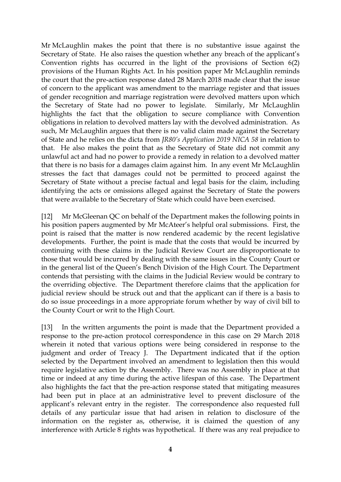Mr McLaughlin makes the point that there is no substantive issue against the Secretary of State. He also raises the question whether any breach of the applicant's Convention rights has occurred in the light of the provisions of Section 6(2) provisions of the Human Rights Act. In his position paper Mr McLaughlin reminds the court that the pre-action response dated 28 March 2018 made clear that the issue of concern to the applicant was amendment to the marriage register and that issues of gender recognition and marriage registration were devolved matters upon which the Secretary of State had no power to legislate. Similarly, Mr McLaughlin highlights the fact that the obligation to secure compliance with Convention obligations in relation to devolved matters lay with the devolved administration. As such, Mr McLaughlin argues that there is no valid claim made against the Secretary of State and he relies on the dicta from *JR80's Application 2019 NICA 58* in relation to that. He also makes the point that as the Secretary of State did not commit any unlawful act and had no power to provide a remedy in relation to a devolved matter that there is no basis for a damages claim against him. In any event Mr McLaughlin stresses the fact that damages could not be permitted to proceed against the Secretary of State without a precise factual and legal basis for the claim, including identifying the acts or omissions alleged against the Secretary of State the powers that were available to the Secretary of State which could have been exercised.

[12] Mr McGleenan QC on behalf of the Department makes the following points in his position papers augmented by Mr McAteer's helpful oral submissions. First, the point is raised that the matter is now rendered academic by the recent legislative developments. Further, the point is made that the costs that would be incurred by continuing with these claims in the Judicial Review Court are disproportionate to those that would be incurred by dealing with the same issues in the County Court or in the general list of the Queen's Bench Division of the High Court. The Department contends that persisting with the claims in the Judicial Review would be contrary to the overriding objective. The Department therefore claims that the application for judicial review should be struck out and that the applicant can if there is a basis to do so issue proceedings in a more appropriate forum whether by way of civil bill to the County Court or writ to the High Court.

[13] In the written arguments the point is made that the Department provided a response to the pre-action protocol correspondence in this case on 29 March 2018 wherein it noted that various options were being considered in response to the judgment and order of Treacy J. The Department indicated that if the option selected by the Department involved an amendment to legislation then this would require legislative action by the Assembly. There was no Assembly in place at that time or indeed at any time during the active lifespan of this case. The Department also highlights the fact that the pre-action response stated that mitigating measures had been put in place at an administrative level to prevent disclosure of the applicant's relevant entry in the register. The correspondence also requested full details of any particular issue that had arisen in relation to disclosure of the information on the register as, otherwise, it is claimed the question of any interference with Article 8 rights was hypothetical. If there was any real prejudice to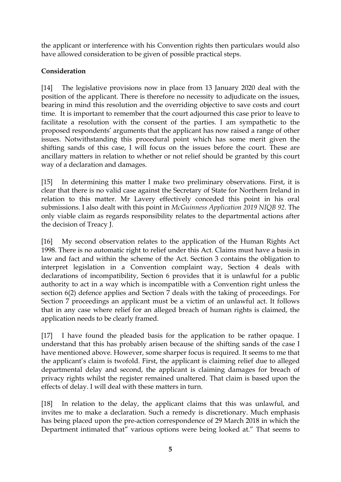the applicant or interference with his Convention rights then particulars would also have allowed consideration to be given of possible practical steps.

# **Consideration**

[14] The legislative provisions now in place from 13 January 2020 deal with the position of the applicant. There is therefore no necessity to adjudicate on the issues, bearing in mind this resolution and the overriding objective to save costs and court time. It is important to remember that the court adjourned this case prior to leave to facilitate a resolution with the consent of the parties. I am sympathetic to the proposed respondents' arguments that the applicant has now raised a range of other issues. Notwithstanding this procedural point which has some merit given the shifting sands of this case, I will focus on the issues before the court. These are ancillary matters in relation to whether or not relief should be granted by this court way of a declaration and damages.

[15] In determining this matter I make two preliminary observations. First, it is clear that there is no valid case against the Secretary of State for Northern Ireland in relation to this matter. Mr Lavery effectively conceded this point in his oral submissions. I also dealt with this point in *McGuinness Application 2019 NIQB 92.* The only viable claim as regards responsibility relates to the departmental actions after the decision of Treacy J.

[16] My second observation relates to the application of the Human Rights Act 1998. There is no automatic right to relief under this Act. Claims must have a basis in law and fact and within the scheme of the Act. Section 3 contains the obligation to interpret legislation in a Convention complaint way, Section 4 deals with declarations of incompatibility, Section 6 provides that it is unlawful for a public authority to act in a way which is incompatible with a Convention right unless the section 6(2) defence applies and Section 7 deals with the taking of proceedings. For Section 7 proceedings an applicant must be a victim of an unlawful act. It follows that in any case where relief for an alleged breach of human rights is claimed, the application needs to be clearly framed.

[17] I have found the pleaded basis for the application to be rather opaque. I understand that this has probably arisen because of the shifting sands of the case I have mentioned above. However, some sharper focus is required. It seems to me that the applicant's claim is twofold. First, the applicant is claiming relief due to alleged departmental delay and second, the applicant is claiming damages for breach of privacy rights whilst the register remained unaltered. That claim is based upon the effects of delay. I will deal with these matters in turn.

[18] In relation to the delay, the applicant claims that this was unlawful, and invites me to make a declaration. Such a remedy is discretionary. Much emphasis has being placed upon the pre-action correspondence of 29 March 2018 in which the Department intimated that" various options were being looked at." That seems to